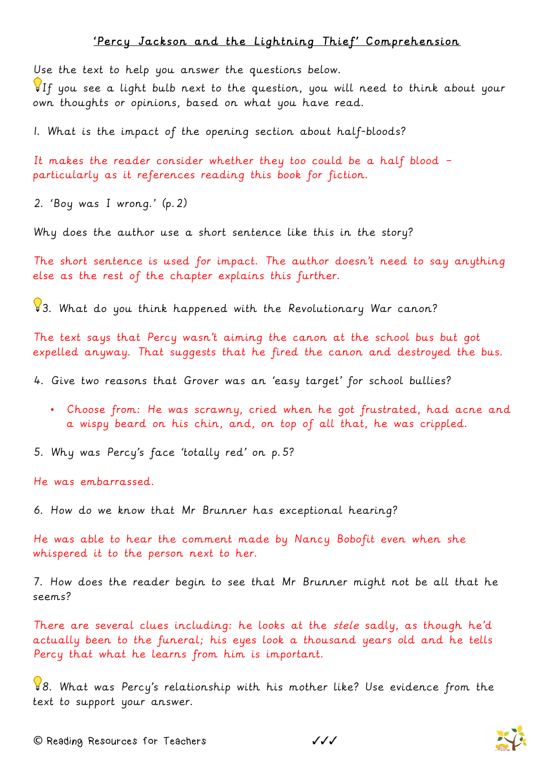## 'Percy Jackson and the Lightning Thief' Comprehension

Use the text to help you answer the questions below.

If you see a light bulb next to the question, you will need to think about your own thoughts or opinions, based on what you have read.

1. What is the impact of the opening section about half-bloods?

It makes the reader consider whether they too could be a half blood – particularly as it references reading this book for fiction.

2. 'Boy was I wrong.' (p.2)

Why does the author use a short sentence like this in the story?

The short sentence is used for impact. The author doesn't need to say anything else as the rest of the chapter explains this further.

83. What do you think happened with the Revolutionary War canon?

The text says that Percy wasn't aiming the canon at the school bus but got expelled anyway. That suggests that he fired the canon and destroyed the bus.

4. Give two reasons that Grover was an 'easy target' for school bullies?

• Choose from: He was scrawny, cried when he got frustrated, had acne and a wispy beard on his chin, and, on top of all that, he was crippled.

5. Why was Percy's face 'totally red' on p.5?

He was embarrassed.

6. How do we know that Mr Brunner has exceptional hearing?

He was able to hear the comment made by Nancy Bobofit even when she whispered it to the person next to her.

7. How does the reader begin to see that Mr Brunner might not be all that he seems?

There are several clues including: he looks at the stele sadly, as though he'd actually been to the funeral; his eyes look a thousand years old and he tells Percy that what he learns from him is important.

8. What was Percy's relationship with his mother like? Use evidence from the text to support your answer.